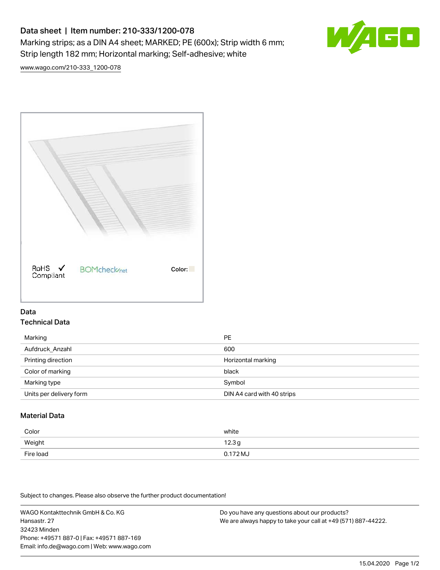# Data sheet | Item number: 210-333/1200-078 Marking strips; as a DIN A4 sheet; MARKED; PE (600x); Strip width 6 mm; Strip length 182 mm; Horizontal marking; Self-adhesive; white



[www.wago.com/210-333\\_1200-078](http://www.wago.com/210-333_1200-078)



#### Data Technical Data

| Marking                 | PE                         |
|-------------------------|----------------------------|
| Aufdruck Anzahl         | 600                        |
| Printing direction      | Horizontal marking         |
| Color of marking        | black                      |
| Marking type            | Symbol                     |
| Units per delivery form | DIN A4 card with 40 strips |

## Material Data

| Color     | white               |
|-----------|---------------------|
| Weight    | 12.3g               |
| Fire load | $0.172 \mathrm{MJ}$ |

Subject to changes. Please also observe the further product documentation!

WAGO Kontakttechnik GmbH & Co. KG Hansastr. 27 32423 Minden Phone: +49571 887-0 | Fax: +49571 887-169 Email: info.de@wago.com | Web: www.wago.com

Do you have any questions about our products? We are always happy to take your call at +49 (571) 887-44222.